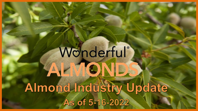# Wonderful® ALMONDS Almond Industry Update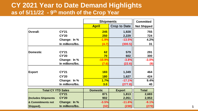## **CY 2021 Year to Date Demand Highlights as of 5/11/22 - 9th month of the Crop Year**

|                 |                  | <b>Shipments</b> | <b>Committed</b>    |                    |
|-----------------|------------------|------------------|---------------------|--------------------|
|                 |                  | <b>April</b>     | <b>Crop to Date</b> | <b>Not Shipped</b> |
| <b>Overall:</b> | <b>CY'21</b>     | 245              | 1,928               | 755                |
|                 | <b>CY'20</b>     | <b>250</b>       | 2,229               | 724                |
|                 | Change: In %     | $-1.9%$          | $-13.5%$            | 4.2%               |
|                 | In millions/lbs. | (4.7)            | (300.5)             | 31                 |
|                 |                  |                  |                     |                    |
| <b>Domestic</b> | <b>CY'21</b>     | 62               | 579                 | 291                |
|                 | <b>CY'20</b>     | <b>70</b>        | 602                 | 300                |
|                 | Change: In %     | $-10.9%$         | $-3.8%$             | $-3.0%$            |
|                 | In millions/lbs. | (7.6)            | (22.6)              | (9)                |
|                 |                  |                  |                     |                    |
| <b>Export</b>   | <b>CY'21</b>     | <b>183</b>       | 1,349               | 464                |
|                 | <b>CY'20</b>     | <b>180</b>       | 1,627               | 424                |
|                 | Change: In %     | 1.7%             | $-17.1%$            | 9.4%               |
|                 | In millions/lbs. | 3.0              | (277.8)             | 40                 |
|                 |                  |                  |                     |                    |

| <b>Total CY YTD Sales</b> |                  | <b>Domestic</b> | <b>Export</b> | <b>Total</b> |  |  |
|---------------------------|------------------|-----------------|---------------|--------------|--|--|
|                           | <b>CY'21</b>     | 871             | 1,813         | 2,683        |  |  |
| (Includes Shipments       | <b>CY'20</b>     | 902             | 2,051         | 2,953        |  |  |
| & Commitments not         | Change: In %     | $-3.5%$         | $-11.6%$      | $-9.1%$      |  |  |
| Shipped).                 | In millions/lbs. | (32)            | (238)         | (270)        |  |  |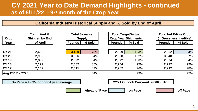## **CY 2021 Year to Date Demand Highlights - continued as of 5/11/22 - 9th month of the Crop Year**

#### **California Industry Historical Supply and % Sold by End of April**

| Crop                    | <b>Committed &amp;</b><br><b>Shipped by End</b> |               | <b>Total Saleable</b><br><b>Supply</b> | <b>Crop Year Shipments</b> | <b>Total Target/Actual</b> |               | <b>Total Net Edible Crop</b><br>(= Gross less Inedible) |  |  |
|-------------------------|-------------------------------------------------|---------------|----------------------------------------|----------------------------|----------------------------|---------------|---------------------------------------------------------|--|--|
| Year                    | of April                                        | <b>Pounds</b> | % Sold                                 | <b>Pounds</b>              | % Sold                     | <b>Pounds</b> | % Sold                                                  |  |  |
| <b>CY 21</b>            | 2,683                                           | 3,460         | 78%                                    | 2,599                      | 103%                       | 2,852         | 94%                                                     |  |  |
| <b>CY 20</b>            | 2,953                                           | 3,506         | 84%                                    | 2,898                      | 102%                       | 3,048         | 97%                                                     |  |  |
| <b>CY 19</b>            | 2,362                                           | 2,822         | 84%                                    | 2,372                      | 100%                       | 2,504         | 94%                                                     |  |  |
| <b>CY 18</b>            | 2,199                                           | 2,582         | 85%                                    | 2,264                      | 97%                        | 2,222         | 99%                                                     |  |  |
| <b>CY 17</b>            | 2,167                                           | 2,611         | 83%                                    | 2,252                      | 96%                        | 2,212         | 98%                                                     |  |  |
| <b>Avg CY17 - CY20:</b> |                                                 |               | 84%                                    |                            | 99%                        |               | 97%                                                     |  |  |

**On Pace = +/- 3% of prior 4 year average CY'21 Outlook Carry-out = 860 million**

 $=$  Ahead of Pace  $=$  on Pace  $=$   $=$  off Pace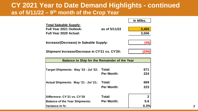### **CY 2021 Year to Date Demand Highlights - continued as of 5/11/22 – 9th month of the Crop Year**

|                                                      |                   | In M/Ibs.    |
|------------------------------------------------------|-------------------|--------------|
| <b>Total Saleable Supply:</b>                        |                   |              |
| <b>Full Year 2021 Outlook:</b>                       | as of 5/11/22     | 3,460        |
| <b>Full Year 2020 Actual:</b>                        |                   | 3,506        |
| Increase/(Decrease) in Saleable Supply:              |                   | (46)         |
| Shipment Increase/Decrease in CY'21 vs. CY'20:       |                   | (299)        |
| <b>Balance to Ship for the Remainder of the Year</b> |                   |              |
| Target Shipments: May '22 - Jul '22:                 | Total:            | 671          |
|                                                      | <b>Per Month:</b> | 224          |
| <b>Actual Shipments: May '21 - Jul '21:</b>          | Total:            | 669          |
|                                                      | <b>Per Month:</b> | 223          |
| Difference: CY'21 vs. CY'20                          | Total:            | $\mathbf{2}$ |
| <b>Balance of the Year Shipments:</b>                | <b>Per Month:</b> | 0.6          |
| Variance in %:                                       |                   | 0.3%         |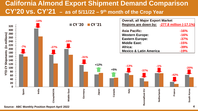# **California Almond Export Shipment Demand Comparison CY'20 vs. CY'21 – as of 5/11/22 – 9th month of the Crop Year**



**Source: ABC Monthly Position Report April 2022**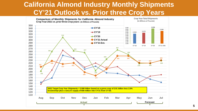## **California Almond Industry Monthly Shipments CY'21 Outlook vs. Prior three Crop Years**

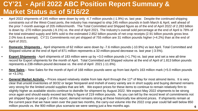# **CY'21 - April 2022 ABC Position Report Summary & Market Status as of 5/16/22**

- April 2022 shipments of 245 million were down by only -4.7 million pounds (-1.9%) vs. last year. Despite the continued shipping constraints out of the West-Coast ports, the industry has managed to ship 245 million pounds in both March & April, well ahead of the prior 7-month average of 205 million/month. The Total Committed and Shipped figure as of the end of April 2022 of 2.283 billion is down by -270 million pounds (-9.1%) vs. the end of April 2021. The Industry's overall sold percentage at the end of April is 78% of the total estimated supply and 94% sold to the estimated 2.852 billion pounds of net crop receipts (2.91 billion pounds gross less 2.0% loss & exempt). CY'21 Commitments not yet shipped of 755 million are 31 million pounds higher (+4.2%) than at the end of April of 2021.
- **Domestic Shipments**  April shipments of 62 million were down by -7.6 million pounds (-10.9%) vs last April. Total Committed and Shipped volume at the end of April of 871 million represents a 32-million-pound decrease vs. last year (-3.5%).
- **Export Shipments** April shipments of 183 million were up by +3.0 million pounds (+1.7%) vs. last year and set a new all-time record for Export shipments for the month of April. Total Committed and Shipped volume at the end of April of 1.813 billion pounds represents a 238-million-pound decrease vs. the end of April 2021 (-11.6%).
- **New Sales -** New Sales for the month of April of 168 million pounds were up from last April's 163 million mark (+5.0 million pounds or  $+3.1%$ ).
- General Market Activity Prices stayed relatively stable from late April through the 11<sup>th</sup> of May for most almond items. It is very clear that unsold inventories of 30/32 or larger Nonpareil and Inshell of every variety are in short supply and buying demand remains very strong for the limited unsold supplies that are left. We expect prices for these items to continue to remain relatively firm to slightly higher as available stocks continue to dwindle for shipment by August 2022. We expect May 2022 shipments to be strong once again and should easily exceed last May's figure of 219 million pounds. As you can tell by the record level of commitments not yet shipped figure on page 1 of this report, demand remains strong at these historically low almond prices. If shipments remain at the current pace that we have seen over the past two months, the carry-out volume into the 2022 crop year could fall well below 850 million pounds vs. the 900 million plus scenario we were seeing just a few months ago.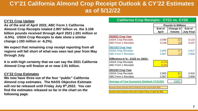## **CY'21 California Almond Crop Receipt Outlook & CY'22 Estimates as of 5/12/22**

#### **CY'21 Crop Update**

**As of the end of April 2022, ABC Form 1 California Almond Crop Receipts totaled 2.907 billion vs. the 3.108 billion pounds received through April 2021 (-201 million or -6.5%). USDA Crop Receipts to date show a similar change (-193 million or -6.2%).**

**We expect that remaining crop receipt reporting from all regions will fall short of what was seen last year from May through July.**

**It is with high certainty that we can say the 2021 California Almond Crop will finalize at or near 2.91 billion.**

#### **CY'22 Crop Estimates**

**We now have three out of the four "public" California Almond crop estimates. The NASS Objective Estimate will not be released until Friday July 8th,2022. You can find the estimates released so far in the chart on the following page.**

| <b>Camorina Crop Recorpto: OTAT YO: OTAV</b>                    |              |                           |                   |  |  |  |  |  |  |
|-----------------------------------------------------------------|--------------|---------------------------|-------------------|--|--|--|--|--|--|
|                                                                 |              | <b>Pounds In Millions</b> |                   |  |  |  |  |  |  |
|                                                                 | End of       | Change in<br>End of       |                   |  |  |  |  |  |  |
|                                                                 | <b>April</b> | <b>Volume</b>             | <b>July Final</b> |  |  |  |  |  |  |
| <b>2020/21 Crop Year</b>                                        |              |                           |                   |  |  |  |  |  |  |
| <b>USDA Crop Receipts</b>                                       | 3,098        | 12 <sup>2</sup>           | 3,110             |  |  |  |  |  |  |
| <b>ABC Form 1 Receipts</b>                                      | 3,108        | (1)                       | 3,107             |  |  |  |  |  |  |
| <b>2021/22 Crop Year</b>                                        |              |                           |                   |  |  |  |  |  |  |
| <b>USDA Crop Receipts</b>                                       | 2,905        | 12 <sub>2</sub>           | 2,917             |  |  |  |  |  |  |
| <b>ABC Form 1 Receipts</b>                                      | 2,907        | (1)                       | 2,906             |  |  |  |  |  |  |
| Difference in % : 21/22 vs. 20/21:                              |              |                           |                   |  |  |  |  |  |  |
| <b>USDA Crop Receipts</b>                                       | $-6.2%$      |                           |                   |  |  |  |  |  |  |
| <b>ABC Form 1 Receipts</b>                                      | $-6.5%$      |                           |                   |  |  |  |  |  |  |
| 2021/22 Crop Year                                               |              |                           |                   |  |  |  |  |  |  |
| <b>USDA Crop Receipts</b>                                       | 2,905        | 11                        | 2,916             |  |  |  |  |  |  |
| <b>ABC Form 1 Receipts</b>                                      | 2,907        |                           | 2,906             |  |  |  |  |  |  |
| 2,911<br><b>Average of Two Scenarios (Outlook CY21/22)</b>      |              |                           |                   |  |  |  |  |  |  |
| Assumes Same Volume Left in Total Lbs as the end of April 2021. |              |                           |                   |  |  |  |  |  |  |
| Assumes Same Volume Left as the % Down YTD as of April 30, 2022 |              |                           |                   |  |  |  |  |  |  |

**California Crop Receipts: CY21 vs. CY20**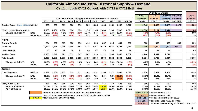#### **California Almond Industry- Historical Supply & Demand CY'11 through CY'21 Outlook with CY'22 & CY'23 Estimates**

|                                       |               |       |                                                                    |       |                                                            |         |       |          |         |         |       |          |                       | CY 2022 Scenarios       |                                   |                 |                                                 |
|---------------------------------------|---------------|-------|--------------------------------------------------------------------|-------|------------------------------------------------------------|---------|-------|----------|---------|---------|-------|----------|-----------------------|-------------------------|-----------------------------------|-----------------|-------------------------------------------------|
|                                       |               |       |                                                                    |       |                                                            |         |       |          |         |         |       |          | WP&A                  | <b>TNT</b>              | Subjective Objective              |                 | 2023                                            |
|                                       |               |       |                                                                    |       | Crop Year Finals - (Supply & Demand in millions of pounds) |         |       |          |         |         |       |          | <b>Estimate</b>       | <b>Estimate</b>         | <b>Estimate</b>                   | <b>Estimate</b> | <b>Estimate</b>                                 |
|                                       |               | 2011  | 2012                                                               | 2013  | 2014                                                       | 2015    | 2016  | 2017     | 2018    | 2019    | 2020  | 2021 Otk | 2.80 B                | 2.90 B                  | 2.80B                             | On 7/8/22       | 3.05 B                                          |
| Bearing Acres: (Land IQ Data In 000's |               | 853   | 885                                                                | 911   | 936                                                        | 970     | 982   | 1,035    | 1,088   | 1,181   | 1,242 | 1,310    | 1,340                 | 1,380                   | 1.370                             | 1,370           | 1,380                                           |
| Yield: Lbs. per Bearing Acre:         |               | 2,368 | 2,130                                                              | 2,206 | 1,996                                                      | 1,953   | 2,175 | 2,185    | 2,086   | 2,160   | 2,502 | 2,221    | 2,090                 | 2,101                   | 2,044                             |                 | 2,165                                           |
| <b>Change vs. Prior Yr:</b>           | In $\%$ :     | 17.8% | $-10.1%$                                                           | 3.6%  | $-9.5%$                                                    | $-2.1%$ | 11.4% | 0.4%     | $-4.5%$ | $3.6\%$ | 19.9% | $-11.2%$ | $-5.9%$               | $-4.7%$                 | $-8.0%$                           |                 | 3.6%                                            |
|                                       | In Lbs./Acre: | 358   | (238)                                                              | 76    | (210)                                                      | (43)    | 222   | 9        | (99)    | 74      | 416   | (280)    | (132)                 | (105)                   | (178)                             |                 | 76                                              |
| <b>Supply</b>                         |               |       |                                                                    |       |                                                            |         |       |          |         |         |       |          |                       |                         |                                   |                 |                                                 |
| <b>Carry-in Supply</b>                |               | 254   | 335                                                                | 317   | 350                                                        | 376     | 412   | 398      | 357     | 315     | 450   | 608      | 860                   | 860                     | 860                               | 860             | 650                                             |
| <b>New Crop</b>                       |               | 2,020 | 1,885                                                              | 2,010 | 1,868                                                      | 1,894   | 2,136 | 2,261    | 2,270   | 2,551   | 3,107 | 2,910    | 2,800                 | 2,900                   | 2,800                             | N/A             | 2,988                                           |
| <b>Less: Exempt</b>                   |               | 40    | 37                                                                 | 39    | 29                                                         | 47      | 49    | 51       | 48      | 44      | 51    | 58       | 56                    | 58                      | 56                                |                 | 60                                              |
| Net New Crop:                         |               | 1,980 | 1,848                                                              | 1,971 | 1,839                                                      | 1,847   | 2,087 | 2,210    | 2,222   | 2,508   | 3,056 | 2,852    | 2,744                 | 2,842                   | 2,744                             |                 | 2,929                                           |
| <b>Total Supply</b>                   |               | 2,233 | 2,183                                                              | 2,287 | 2,189                                                      | 2,223   | 2,499 | 2,609    | 2,579   | 2,822   | 3,506 | 3,460    | 3,604                 | 3,702                   | 3,604                             |                 | 3,579                                           |
| <b>Change vs. Prior Yr:</b>           | In $%$ :      | 16.2% | $-2.3%$                                                            | 4.8%  | $-4.3%$                                                    | 1.6%    | 12.4% | 4.4%     | $-1.1%$ | 9.5%    | 24.2% | $-1.3%$  | 4.2%                  | 7.0%                    | 4.2%                              |                 | $-0.71%$                                        |
|                                       | In Lbs.:      | 312   | (51)                                                               | 105   | (99)                                                       | 35      | 276   | 110      | (30)    | 244     | 684   | (47)     | 145                   | 243                     | 145                               |                 | (26)                                            |
| <b>Demand</b>                         |               |       |                                                                    |       |                                                            |         |       |          |         |         |       |          |                       |                         |                                   |                 |                                                 |
| <b>Total Shipments:</b>               | In M/Lbs.:    | 1,899 | 1,866                                                              | 1,937 | 1,812                                                      | 1,811   | 2,101 | 2,252    | 2,264   | 2,372   | 2,898 | 2,599    | 2,954                 | 3,052                   | 2,954                             |                 | 3,028                                           |
| <b>Change vs. Prior Yr:</b>           | In $%$ :      | 13.9% | $-1.7%$                                                            | 3.8%  | $-6.5%$                                                    | $-0.1%$ | 16.0% | 7.2%     | 0.6%    | 4.8%    | 22.2% | $-10.3%$ | 13.7%                 | 17.4%                   | 13.7%                             |                 | 2.5%                                            |
|                                       | In Lbs.:      | 231   | (32)                                                               | 71    | (125)                                                      | (1)     | 290   | 150      | 13      | 108     | 526   | (299)    | 355                   | 453                     | 355                               |                 | 74                                              |
| <b>Carry-out in M/Lbs.</b>            |               | 335   | 317                                                                | 350   | 376                                                        | 412     | 398   | 357      | 315     | 450     | 608   | 860      | 650                   | 650                     | 650                               |                 | 550                                             |
| As % of Shipments:                    |               | 17.6% | 17.0%                                                              | 18.1% | 20.8%                                                      | 22.7%   | 18.9% | 15.9%    | 13.9%   | 19.0%   | 21.0% | 33.1%    | 22.0%                 | 21.3%                   | 22.0%                             |                 | 18.2%                                           |
| As % of Supply:                       |               | 15.0% | 14.5%                                                              | 15.3% | 17.2%                                                      | 18.5%   | 15.9% | $13.7\%$ | 12.2%   | 15.9%   | 17.3% | 24.9%    | 18.0%                 | 17.6%                   | 18.0%                             |                 | 15.4%                                           |
|                                       |               |       | Record Increase in shipments in both Lbs. and % increase           |       |                                                            |         |       |          |         |         |       |          | <b>WP&amp;A CY'22</b> | $=$ Released on 5/11/22 |                                   |                 |                                                 |
|                                       |               |       | Record % increase in shipments prior to CY'20 was in 2007 (+18.3%) |       |                                                            |         |       |          |         |         |       |          | TNT CY'22             |                         | $=$ Released on 4/12/22           |                 |                                                 |
|                                       | <b>CY'18</b>  |       | = lowest % since 2006 Crop Year.                                   |       |                                                            |         |       |          |         |         |       |          | Subj. Est.            |                         | $=$ Released by NASS on $5/12/22$ |                 |                                                 |
|                                       |               |       |                                                                    |       |                                                            |         |       |          |         |         |       |          | Obj Est.              |                         | = to be Released NASS on 7/8/22   |                 |                                                 |
|                                       |               |       |                                                                    |       |                                                            |         |       |          |         |         |       |          | 2023 Est.             |                         |                                   |                 | = Yld/Acre based on Avg. of CY'16-CY'19 & CY'21 |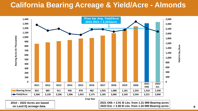# **California Bearing Acreage & Yield/Acre - Almonds**



**Crop Year**

**2010 – 2022 Acres are based on Land IQ acreage data.** 

**2021 Otlk = 2.91 B Lbs. from 1.31 MM Bearing acres 2022 Est. = 2.80 B Lbs. from 1.34 MM Bearing acres 9**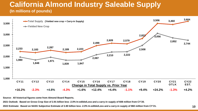#### **California Almond Industry Saleable Supply (In millions of pounds)**



**Source: All historical figures come from Almond Board Reports.**

**2021 Outlook: Based on Gross Crop Size of 2.91 billion less -2.0% In-edible/Loss and a carry-in supply of 608 million from CY'20.**

**2022 Estimate: Based on NASS Subjective Estimate of 2.80 billion less -2.0% In-edible/Loss and a carry-in supply of 860 million from CY'21.**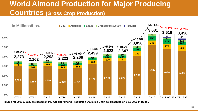# **World Almond Production for Major Producing Countries (Gross Crop Production)**



**Figures for 2021 & 2022 are based on INC Official Almond Production Statistics Chart as presented on 5-12-2022 in Dubai.**